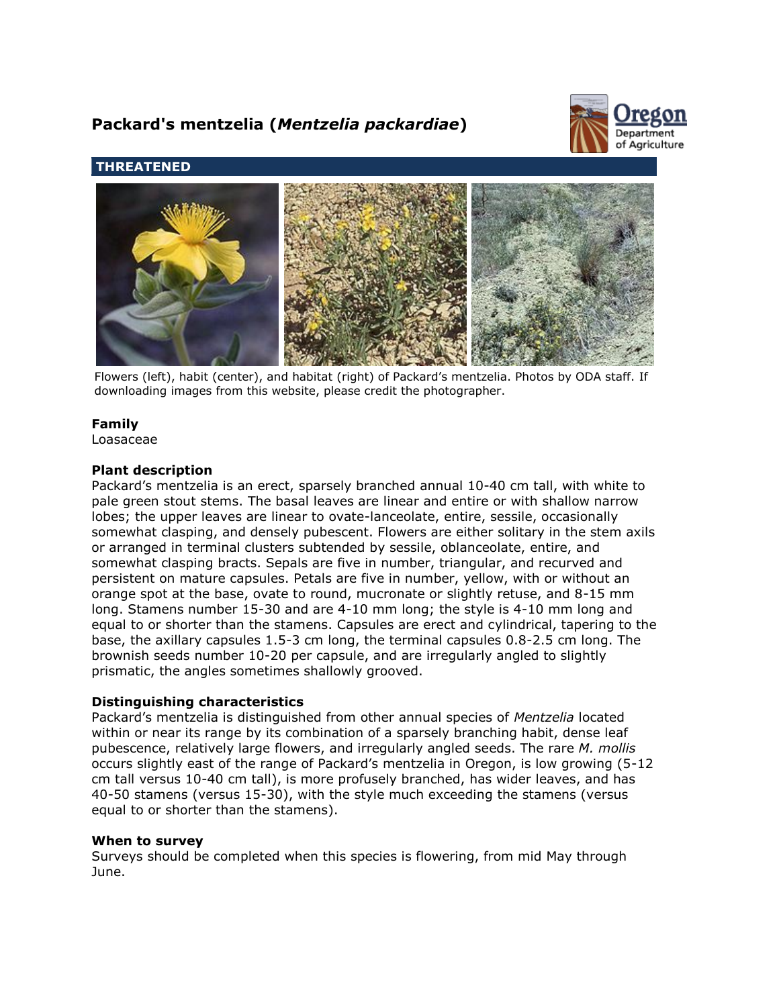# **Packard's mentzelia (***Mentzelia packardiae***)**



# **THREATENED**



Flowers (left), habit (center), and habitat (right) of Packard's mentzelia. Photos by ODA staff. If downloading images from this website, please credit the photographer.

# **Family**

Loasaceae

#### **Plant description**

Packard's mentzelia is an erect, sparsely branched annual 10-40 cm tall, with white to pale green stout stems. The basal leaves are linear and entire or with shallow narrow lobes; the upper leaves are linear to ovate-lanceolate, entire, sessile, occasionally somewhat clasping, and densely pubescent. Flowers are either solitary in the stem axils or arranged in terminal clusters subtended by sessile, oblanceolate, entire, and somewhat clasping bracts. Sepals are five in number, triangular, and recurved and persistent on mature capsules. Petals are five in number, yellow, with or without an orange spot at the base, ovate to round, mucronate or slightly retuse, and 8-15 mm long. Stamens number 15-30 and are 4-10 mm long; the style is 4-10 mm long and equal to or shorter than the stamens. Capsules are erect and cylindrical, tapering to the base, the axillary capsules 1.5-3 cm long, the terminal capsules 0.8-2.5 cm long. The brownish seeds number 10-20 per capsule, and are irregularly angled to slightly prismatic, the angles sometimes shallowly grooved.

#### **Distinguishing characteristics**

Packard's mentzelia is distinguished from other annual species of *Mentzelia* located within or near its range by its combination of a sparsely branching habit, dense leaf pubescence, relatively large flowers, and irregularly angled seeds. The rare *M. mollis* occurs slightly east of the range of Packard's mentzelia in Oregon, is low growing (5-12 cm tall versus 10-40 cm tall), is more profusely branched, has wider leaves, and has 40-50 stamens (versus 15-30), with the style much exceeding the stamens (versus equal to or shorter than the stamens).

#### **When to survey**

Surveys should be completed when this species is flowering, from mid May through June.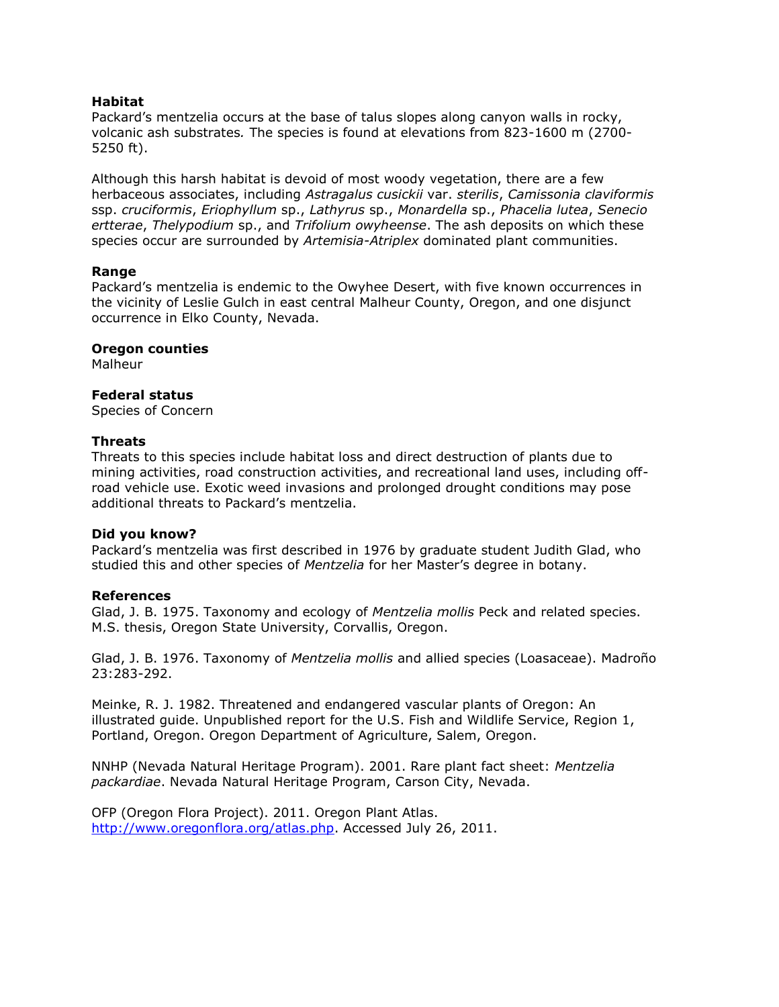# **Habitat**

Packard's mentzelia occurs at the base of talus slopes along canyon walls in rocky, volcanic ash substrates*.* The species is found at elevations from 823-1600 m (2700- 5250 ft).

Although this harsh habitat is devoid of most woody vegetation, there are a few herbaceous associates, including *Astragalus cusickii* var. *sterilis*, *Camissonia claviformis* ssp. *cruciformis*, *Eriophyllum* sp., *Lathyrus* sp., *Monardella* sp., *Phacelia lutea*, *Senecio ertterae*, *Thelypodium* sp., and *Trifolium owyheense*. The ash deposits on which these species occur are surrounded by *Artemisia-Atriplex* dominated plant communities.

# **Range**

Packard's mentzelia is endemic to the Owyhee Desert, with five known occurrences in the vicinity of Leslie Gulch in east central Malheur County, Oregon, and one disjunct occurrence in Elko County, Nevada.

#### **Oregon counties**

Malheur

# **Federal status**

Species of Concern

# **Threats**

Threats to this species include habitat loss and direct destruction of plants due to mining activities, road construction activities, and recreational land uses, including offroad vehicle use. Exotic weed invasions and prolonged drought conditions may pose additional threats to Packard's mentzelia.

#### **Did you know?**

Packard's mentzelia was first described in 1976 by graduate student Judith Glad, who studied this and other species of *Mentzelia* for her Master's degree in botany.

# **References**

Glad, J. B. 1975. Taxonomy and ecology of *Mentzelia mollis* Peck and related species. M.S. thesis, Oregon State University, Corvallis, Oregon.

Glad, J. B. 1976. Taxonomy of *Mentzelia mollis* and allied species (Loasaceae). Madroño 23:283-292.

Meinke, R. J. 1982. Threatened and endangered vascular plants of Oregon: An illustrated guide. Unpublished report for the U.S. Fish and Wildlife Service, Region 1, Portland, Oregon. Oregon Department of Agriculture, Salem, Oregon.

NNHP (Nevada Natural Heritage Program). 2001. Rare plant fact sheet: *Mentzelia packardiae*. Nevada Natural Heritage Program, Carson City, Nevada.

OFP (Oregon Flora Project). 2011. Oregon Plant Atlas. [http://www.oregonflora.org/atlas.php.](http://www.oregonflora.org/atlas.php) Accessed July 26, 2011.